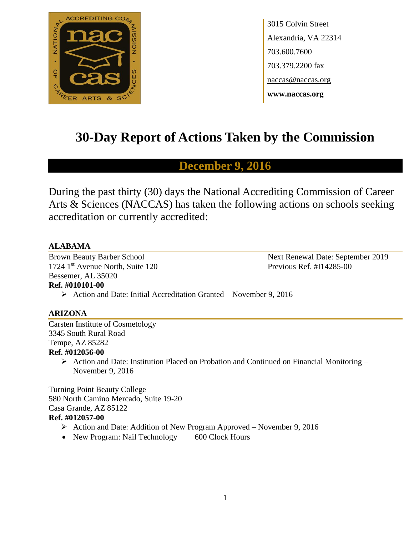

3015 Colvin Street Alexandria, VA 22314 703.600.7600 703.379.2200 fax naccas@naccas.org **www.naccas.org**

# **30-Day Report of Actions Taken by the Commission**

# **December 9, 2016**

During the past thirty (30) days the National Accrediting Commission of Career Arts & Sciences (NACCAS) has taken the following actions on schools seeking accreditation or currently accredited:

# **ALABAMA**

1724 1<sup>st</sup> Avenue North, Suite 120 Previous Ref. #I14285-00 Bessemer, AL 35020 **Ref. #010101-00**

Brown Beauty Barber School Next Renewal Date: September 2019

# Action and Date: Initial Accreditation Granted – November 9, 2016

# **ARIZONA**

Carsten Institute of Cosmetology 3345 South Rural Road Tempe, AZ 85282 **Ref. #012056-00**

> $\triangleright$  Action and Date: Institution Placed on Probation and Continued on Financial Monitoring – November 9, 2016

Turning Point Beauty College 580 North Camino Mercado, Suite 19-20 Casa Grande, AZ 85122 **Ref. #012057-00**

- $\triangleright$  Action and Date: Addition of New Program Approved November 9, 2016
- New Program: Nail Technology 600 Clock Hours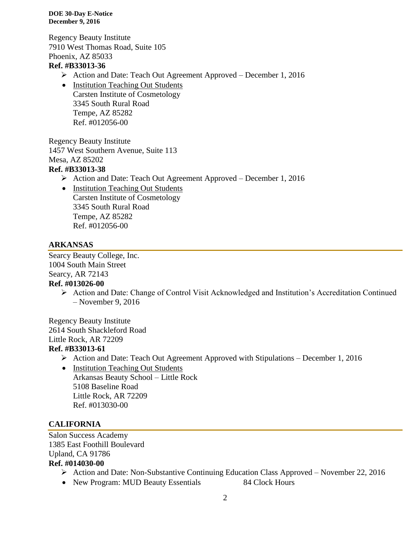Regency Beauty Institute 7910 West Thomas Road, Suite 105 Phoenix, AZ 85033

# **Ref. #B33013-36**

- Action and Date: Teach Out Agreement Approved December 1, 2016
- Institution Teaching Out Students Carsten Institute of Cosmetology 3345 South Rural Road Tempe, AZ 85282 Ref. #012056-00

Regency Beauty Institute 1457 West Southern Avenue, Suite 113 Mesa, AZ 85202

# **Ref. #B33013-38**

- Action and Date: Teach Out Agreement Approved December 1, 2016
- Institution Teaching Out Students Carsten Institute of Cosmetology 3345 South Rural Road Tempe, AZ 85282 Ref. #012056-00

# **ARKANSAS**

Searcy Beauty College, Inc. 1004 South Main Street Searcy, AR 72143

# **Ref. #013026-00**

 Action and Date: Change of Control Visit Acknowledged and Institution's Accreditation Continued – November 9, 2016

Regency Beauty Institute 2614 South Shackleford Road Little Rock, AR 72209 **Ref. #B33013-61**

- $\triangleright$  Action and Date: Teach Out Agreement Approved with Stipulations December 1, 2016
	- Institution Teaching Out Students Arkansas Beauty School – Little Rock 5108 Baseline Road Little Rock, AR 72209 Ref. #013030-00

# **CALIFORNIA**

Salon Success Academy 1385 East Foothill Boulevard Upland, CA 91786

# **Ref. #014030-00**

- Action and Date: Non-Substantive Continuing Education Class Approved November 22, 2016
- New Program: MUD Beauty Essentials 84 Clock Hours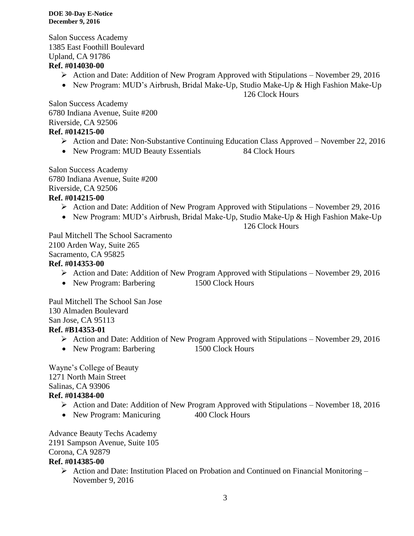Salon Success Academy 1385 East Foothill Boulevard Upland, CA 91786

# **Ref. #014030-00**

- Action and Date: Addition of New Program Approved with Stipulations November 29, 2016
- New Program: MUD's Airbrush, Bridal Make-Up, Studio Make-Up & High Fashion Make-Up

126 Clock Hours

Salon Success Academy 6780 Indiana Avenue, Suite #200 Riverside, CA 92506 **Ref. #014215-00**

- Action and Date: Non-Substantive Continuing Education Class Approved November 22, 2016
- New Program: MUD Beauty Essentials 84 Clock Hours

Salon Success Academy 6780 Indiana Avenue, Suite #200 Riverside, CA 92506 **Ref. #014215-00**

- $\triangleright$  Action and Date: Addition of New Program Approved with Stipulations November 29, 2016
- New Program: MUD's Airbrush, Bridal Make-Up, Studio Make-Up & High Fashion Make-Up

126 Clock Hours

Paul Mitchell The School Sacramento 2100 Arden Way, Suite 265 Sacramento, CA 95825

# **Ref. #014353-00**

- $\triangleright$  Action and Date: Addition of New Program Approved with Stipulations November 29, 2016
- New Program: Barbering 1500 Clock Hours

Paul Mitchell The School San Jose 130 Almaden Boulevard San Jose, CA 95113 **Ref. #B14353-01**

- $\triangleright$  Action and Date: Addition of New Program Approved with Stipulations November 29, 2016
- New Program: Barbering 1500 Clock Hours

Wayne's College of Beauty 1271 North Main Street Salinas, CA 93906

# **Ref. #014384-00**

- $\triangleright$  Action and Date: Addition of New Program Approved with Stipulations November 18, 2016
- New Program: Manicuring 400 Clock Hours

Advance Beauty Techs Academy

2191 Sampson Avenue, Suite 105

Corona, CA 92879

# **Ref. #014385-00**

 $\triangleright$  Action and Date: Institution Placed on Probation and Continued on Financial Monitoring – November 9, 2016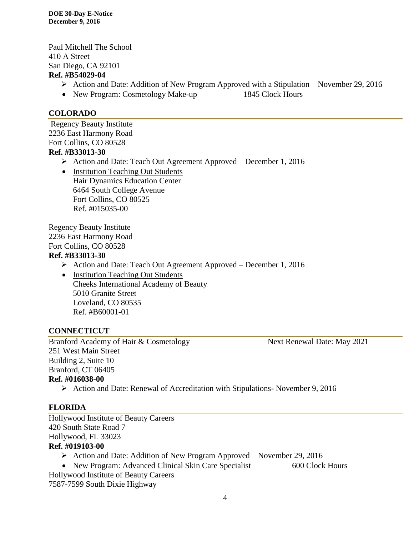Paul Mitchell The School 410 A Street San Diego, CA 92101 **Ref. #B54029-04**

- $\triangleright$  Action and Date: Addition of New Program Approved with a Stipulation November 29, 2016
- New Program: Cosmetology Make-up 1845 Clock Hours

# **COLORADO**

Regency Beauty Institute 2236 East Harmony Road Fort Collins, CO 80528 **Ref. #B33013-30**

Action and Date: Teach Out Agreement Approved – December 1, 2016

• Institution Teaching Out Students Hair Dynamics Education Center 6464 South College Avenue Fort Collins, CO 80525 Ref. #015035-00

Regency Beauty Institute 2236 East Harmony Road Fort Collins, CO 80528

## **Ref. #B33013-30**

- Action and Date: Teach Out Agreement Approved December 1, 2016
- Institution Teaching Out Students Cheeks International Academy of Beauty 5010 Granite Street Loveland, CO 80535 Ref. #B60001-01

## **CONNECTICUT**

Branford Academy of Hair & Cosmetology Next Renewal Date: May 2021 251 West Main Street Building 2, Suite 10 Branford, CT 06405 **Ref. #016038-00**

Action and Date: Renewal of Accreditation with Stipulations- November 9, 2016

# **FLORIDA**

Hollywood Institute of Beauty Careers 420 South State Road 7 Hollywood, FL 33023 **Ref. #019103-00**

- $\triangleright$  Action and Date: Addition of New Program Approved November 29, 2016
- New Program: Advanced Clinical Skin Care Specialist 600 Clock Hours

Hollywood Institute of Beauty Careers 7587-7599 South Dixie Highway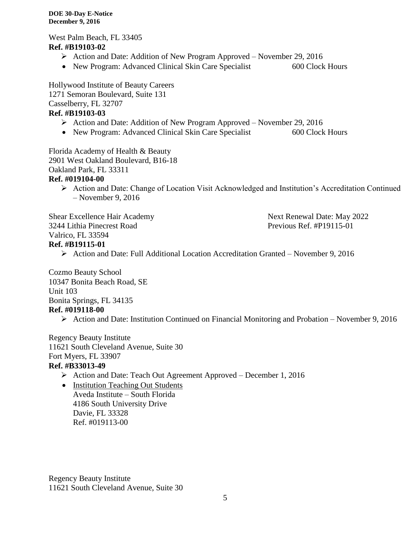West Palm Beach, FL 33405 **Ref. #B19103-02**

- Action and Date: Addition of New Program Approved November 29, 2016
- New Program: Advanced Clinical Skin Care Specialist 600 Clock Hours

Hollywood Institute of Beauty Careers 1271 Semoran Boulevard, Suite 131 Casselberry, FL 32707 **Ref. #B19103-03**

- Action and Date: Addition of New Program Approved November 29, 2016
- New Program: Advanced Clinical Skin Care Specialist 600 Clock Hours

Florida Academy of Health & Beauty 2901 West Oakland Boulevard, B16-18 Oakland Park, FL 33311 **Ref. #019104-00**

 Action and Date: Change of Location Visit Acknowledged and Institution's Accreditation Continued – November 9, 2016

Shear Excellence Hair Academy Next Renewal Date: May 2022 3244 Lithia Pinecrest Road Previous Ref. #P19115-01 Valrico, FL 33594 **Ref. #B19115-01**

Action and Date: Full Additional Location Accreditation Granted – November 9, 2016

Cozmo Beauty School 10347 Bonita Beach Road, SE Unit 103 Bonita Springs, FL 34135 **Ref. #019118-00**

 $\triangleright$  Action and Date: Institution Continued on Financial Monitoring and Probation – November 9, 2016

Regency Beauty Institute 11621 South Cleveland Avenue, Suite 30 Fort Myers, FL 33907

# **Ref. #B33013-49**

- Action and Date: Teach Out Agreement Approved December 1, 2016
- Institution Teaching Out Students Aveda Institute – South Florida 4186 South University Drive Davie, FL 33328 Ref. #019113-00

Regency Beauty Institute 11621 South Cleveland Avenue, Suite 30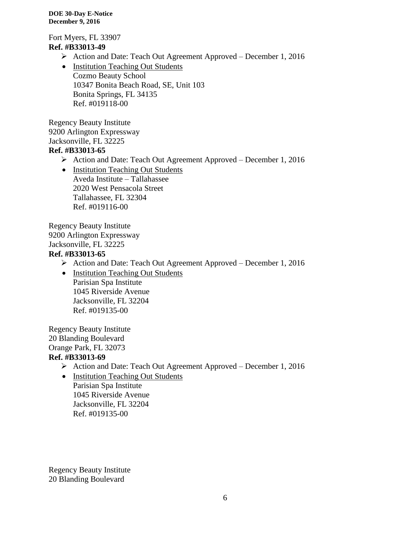Fort Myers, FL 33907 **Ref. #B33013-49**

- Action and Date: Teach Out Agreement Approved December 1, 2016
- Institution Teaching Out Students Cozmo Beauty School 10347 Bonita Beach Road, SE, Unit 103 Bonita Springs, FL 34135 Ref. #019118-00

Regency Beauty Institute 9200 Arlington Expressway Jacksonville, FL 32225

# **Ref. #B33013-65**

- Action and Date: Teach Out Agreement Approved December 1, 2016
- Institution Teaching Out Students Aveda Institute – Tallahassee 2020 West Pensacola Street Tallahassee, FL 32304 Ref. #019116-00

Regency Beauty Institute 9200 Arlington Expressway Jacksonville, FL 32225 **Ref. #B33013-65**

- Action and Date: Teach Out Agreement Approved December 1, 2016
- Institution Teaching Out Students Parisian Spa Institute 1045 Riverside Avenue Jacksonville, FL 32204 Ref. #019135-00

Regency Beauty Institute 20 Blanding Boulevard Orange Park, FL 32073 **Ref. #B33013-69**

- Action and Date: Teach Out Agreement Approved December 1, 2016
- Institution Teaching Out Students Parisian Spa Institute 1045 Riverside Avenue

Jacksonville, FL 32204

Ref. #019135-00

Regency Beauty Institute 20 Blanding Boulevard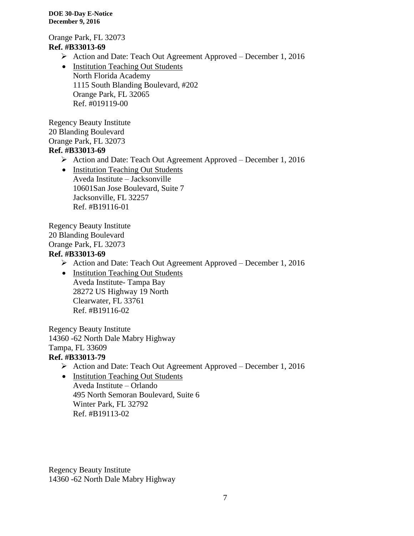Orange Park, FL 32073 **Ref. #B33013-69**

- Action and Date: Teach Out Agreement Approved December 1, 2016
- Institution Teaching Out Students North Florida Academy 1115 South Blanding Boulevard, #202 Orange Park, FL 32065 Ref. #019119-00

Regency Beauty Institute 20 Blanding Boulevard Orange Park, FL 32073 **Ref. #B33013-69**

- Action and Date: Teach Out Agreement Approved December 1, 2016
- Institution Teaching Out Students Aveda Institute – Jacksonville 10601San Jose Boulevard, Suite 7 Jacksonville, FL 32257 Ref. #B19116-01

Regency Beauty Institute 20 Blanding Boulevard Orange Park, FL 32073 **Ref. #B33013-69**

- Action and Date: Teach Out Agreement Approved December 1, 2016
- Institution Teaching Out Students Aveda Institute- Tampa Bay 28272 US Highway 19 North Clearwater, FL 33761 Ref. #B19116-02

Regency Beauty Institute 14360 -62 North Dale Mabry Highway Tampa, FL 33609

# **Ref. #B33013-79**

- Action and Date: Teach Out Agreement Approved December 1, 2016
- Institution Teaching Out Students Aveda Institute – Orlando 495 North Semoran Boulevard, Suite 6 Winter Park, FL 32792 Ref. #B19113-02

Regency Beauty Institute 14360 -62 North Dale Mabry Highway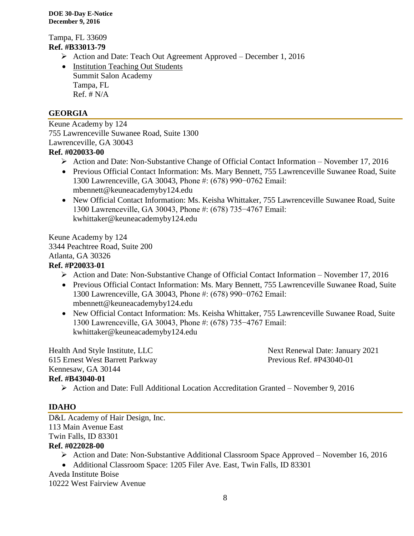Tampa, FL 33609 **Ref. #B33013-79**

- Action and Date: Teach Out Agreement Approved December 1, 2016
- Institution Teaching Out Students Summit Salon Academy Tampa, FL  $Ref. # N/A$

# **GEORGIA**

Keune Academy by 124 755 Lawrenceville Suwanee Road, Suite 1300 Lawrenceville, GA 30043 **Ref. #020033-00**

- $\triangleright$  Action and Date: Non-Substantive Change of Official Contact Information November 17, 2016
- Previous Official Contact Information: Ms. Mary Bennett, 755 Lawrenceville Suwanee Road, Suite 1300 Lawrenceville, GA 30043, Phone #: (678) 990−0762 Email: mbennett@keuneacademyby124.edu
- New Official Contact Information: Ms. Keisha Whittaker, 755 Lawrenceville Suwanee Road, Suite 1300 Lawrenceville, GA 30043, Phone #: (678) 735−4767 Email: kwhittaker@keuneacademyby124.edu

Keune Academy by 124 3344 Peachtree Road, Suite 200 Atlanta, GA 30326 **Ref. #P20033-01**

- $\triangleright$  Action and Date: Non-Substantive Change of Official Contact Information November 17, 2016
- Previous Official Contact Information: Ms. Mary Bennett, 755 Lawrenceville Suwanee Road, Suite 1300 Lawrenceville, GA 30043, Phone #: (678) 990−0762 Email: mbennett@keuneacademyby124.edu
- New Official Contact Information: Ms. Keisha Whittaker, 755 Lawrenceville Suwanee Road, Suite 1300 Lawrenceville, GA 30043, Phone #: (678) 735−4767 Email: kwhittaker@keuneacademyby124.edu

Health And Style Institute, LLC Next Renewal Date: January 2021 615 Ernest West Barrett Parkway Previous Ref. #P43040-01 Kennesaw, GA 30144 **Ref. #B43040-01**

Action and Date: Full Additional Location Accreditation Granted – November 9, 2016

## **IDAHO**

D&L Academy of Hair Design, Inc. 113 Main Avenue East Twin Falls, ID 83301

## **Ref. #022028-00**

- Action and Date: Non-Substantive Additional Classroom Space Approved November 16, 2016
- Additional Classroom Space: 1205 Filer Ave. East, Twin Falls, ID 83301

Aveda Institute Boise

10222 West Fairview Avenue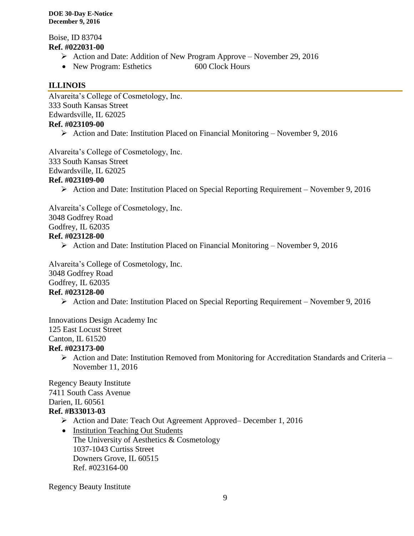Boise, ID 83704 **Ref. #022031-00**

- Action and Date: Addition of New Program Approve November 29, 2016
- New Program: Esthetics 600 Clock Hours

# **ILLINOIS**

Alvareita's College of Cosmetology, Inc. 333 South Kansas Street Edwardsville, IL 62025 **Ref. #023109-00**

- - $\triangleright$  Action and Date: Institution Placed on Financial Monitoring November 9, 2016

Alvareita's College of Cosmetology, Inc.

333 South Kansas Street

Edwardsville, IL 62025

## **Ref. #023109-00**

 $\triangleright$  Action and Date: Institution Placed on Special Reporting Requirement – November 9, 2016

Alvareita's College of Cosmetology, Inc.

3048 Godfrey Road

Godfrey, IL 62035

# **Ref. #023128-00**

 $\triangleright$  Action and Date: Institution Placed on Financial Monitoring – November 9, 2016

Alvareita's College of Cosmetology, Inc.

3048 Godfrey Road

Godfrey, IL 62035

## **Ref. #023128-00**

Action and Date: Institution Placed on Special Reporting Requirement – November 9, 2016

Innovations Design Academy Inc 125 East Locust Street Canton, IL 61520 **Ref. #023173-00**

- - $\triangleright$  Action and Date: Institution Removed from Monitoring for Accreditation Standards and Criteria November 11, 2016

Regency Beauty Institute 7411 South Cass Avenue Darien, IL 60561 **Ref. #B33013-03**

- Action and Date: Teach Out Agreement Approved– December 1, 2016
- Institution Teaching Out Students The University of Aesthetics & Cosmetology 1037-1043 Curtiss Street Downers Grove, IL 60515 Ref. #023164-00

Regency Beauty Institute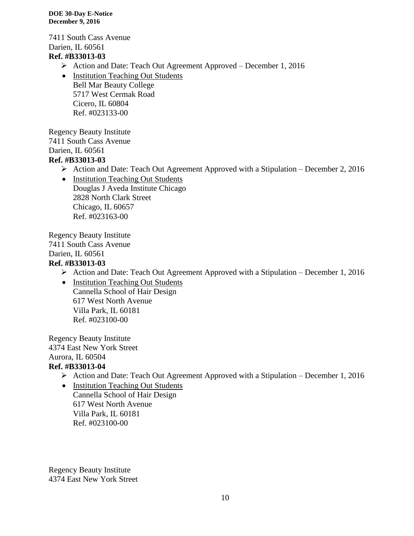7411 South Cass Avenue Darien, IL 60561 **Ref. #B33013-03**

- Action and Date: Teach Out Agreement Approved December 1, 2016
- Institution Teaching Out Students Bell Mar Beauty College 5717 West Cermak Road Cicero, IL 60804 Ref. #023133-00

Regency Beauty Institute 7411 South Cass Avenue Darien, IL 60561 **Ref. #B33013-03**

- Action and Date: Teach Out Agreement Approved with a Stipulation December 2, 2016
- Institution Teaching Out Students Douglas J Aveda Institute Chicago 2828 North Clark Street Chicago, IL 60657 Ref. #023163-00

Regency Beauty Institute 7411 South Cass Avenue Darien, IL 60561

# **Ref. #B33013-03**

 $\triangleright$  Action and Date: Teach Out Agreement Approved with a Stipulation – December 1, 2016

• Institution Teaching Out Students Cannella School of Hair Design 617 West North Avenue Villa Park, IL 60181 Ref. #023100-00

Regency Beauty Institute 4374 East New York Street Aurora, IL 60504 **Ref. #B33013-04**

Action and Date: Teach Out Agreement Approved with a Stipulation – December 1, 2016

• Institution Teaching Out Students Cannella School of Hair Design 617 West North Avenue Villa Park, IL 60181 Ref. #023100-00

Regency Beauty Institute 4374 East New York Street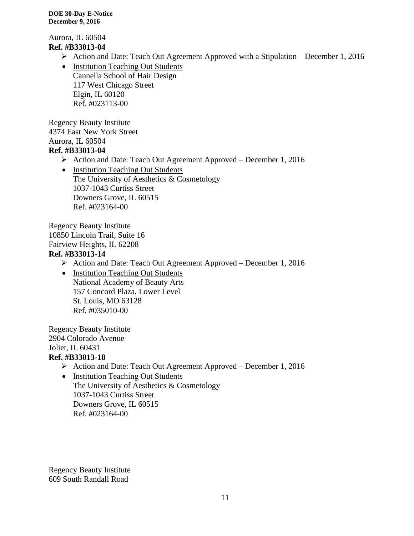Aurora, IL 60504 **Ref. #B33013-04**

- $\triangleright$  Action and Date: Teach Out Agreement Approved with a Stipulation December 1, 2016
- Institution Teaching Out Students Cannella School of Hair Design 117 West Chicago Street Elgin, IL 60120 Ref. #023113-00

Regency Beauty Institute 4374 East New York Street Aurora, IL 60504 **Ref. #B33013-04**

- Action and Date: Teach Out Agreement Approved December 1, 2016
- Institution Teaching Out Students The University of Aesthetics & Cosmetology 1037-1043 Curtiss Street Downers Grove, IL 60515 Ref. #023164-00

Regency Beauty Institute 10850 Lincoln Trail, Suite 16 Fairview Heights, IL 62208 **Ref. #B33013-14**

- Action and Date: Teach Out Agreement Approved December 1, 2016
	- Institution Teaching Out Students National Academy of Beauty Arts 157 Concord Plaza, Lower Level St. Louis, MO 63128 Ref. #035010-00

Regency Beauty Institute 2904 Colorado Avenue Joliet, IL 60431

- **Ref. #B33013-18**
	- Action and Date: Teach Out Agreement Approved December 1, 2016
	- Institution Teaching Out Students The University of Aesthetics & Cosmetology 1037-1043 Curtiss Street Downers Grove, IL 60515 Ref. #023164-00

Regency Beauty Institute 609 South Randall Road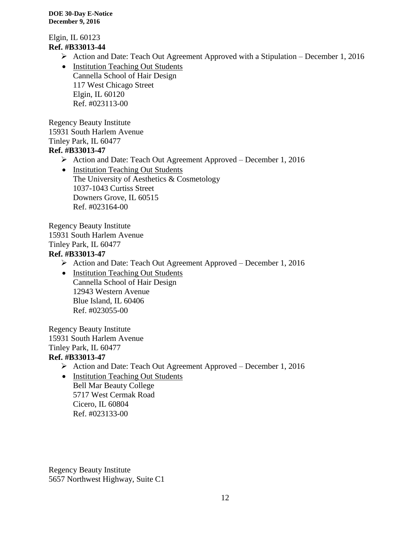Elgin, IL 60123 **Ref. #B33013-44**

- $\triangleright$  Action and Date: Teach Out Agreement Approved with a Stipulation December 1, 2016
- Institution Teaching Out Students Cannella School of Hair Design 117 West Chicago Street Elgin, IL 60120 Ref. #023113-00

Regency Beauty Institute 15931 South Harlem Avenue Tinley Park, IL 60477 **Ref. #B33013-47**

- Action and Date: Teach Out Agreement Approved December 1, 2016
- Institution Teaching Out Students The University of Aesthetics & Cosmetology 1037-1043 Curtiss Street Downers Grove, IL 60515 Ref. #023164-00

Regency Beauty Institute 15931 South Harlem Avenue Tinley Park, IL 60477 **Ref. #B33013-47**

- Action and Date: Teach Out Agreement Approved December 1, 2016
- Institution Teaching Out Students Cannella School of Hair Design 12943 Western Avenue Blue Island, IL 60406 Ref. #023055-00

Regency Beauty Institute 15931 South Harlem Avenue Tinley Park, IL 60477

# **Ref. #B33013-47**

- Action and Date: Teach Out Agreement Approved December 1, 2016
- Institution Teaching Out Students Bell Mar Beauty College 5717 West Cermak Road Cicero, IL 60804 Ref. #023133-00

Regency Beauty Institute 5657 Northwest Highway, Suite C1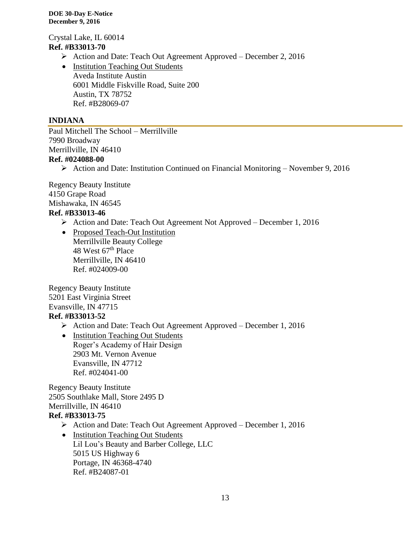Crystal Lake, IL 60014 **Ref. #B33013-70**

- Action and Date: Teach Out Agreement Approved December 2, 2016
- Institution Teaching Out Students Aveda Institute Austin 6001 Middle Fiskville Road, Suite 200 Austin, TX 78752 Ref. #B28069-07

# **INDIANA**

Paul Mitchell The School – Merrillville 7990 Broadway Merrillville, IN 46410 **Ref. #024088-00**

Action and Date: Institution Continued on Financial Monitoring – November 9, 2016

Regency Beauty Institute 4150 Grape Road Mishawaka, IN 46545

# **Ref. #B33013-46**

- $\triangleright$  Action and Date: Teach Out Agreement Not Approved December 1, 2016
- Proposed Teach-Out Institution Merrillville Beauty College 48 West 67<sup>th</sup> Place Merrillville, IN 46410 Ref. #024009-00

Regency Beauty Institute 5201 East Virginia Street Evansville, IN 47715 **Ref. #B33013-52**

- Action and Date: Teach Out Agreement Approved December 1, 2016
- Institution Teaching Out Students Roger's Academy of Hair Design 2903 Mt. Vernon Avenue Evansville, IN 47712 Ref. #024041-00

Regency Beauty Institute 2505 Southlake Mall, Store 2495 D Merrillville, IN 46410 **Ref. #B33013-75**

- Action and Date: Teach Out Agreement Approved December 1, 2016
- Institution Teaching Out Students Lil Lou's Beauty and Barber College, LLC 5015 US Highway 6 Portage, IN 46368-4740 Ref. #B24087-01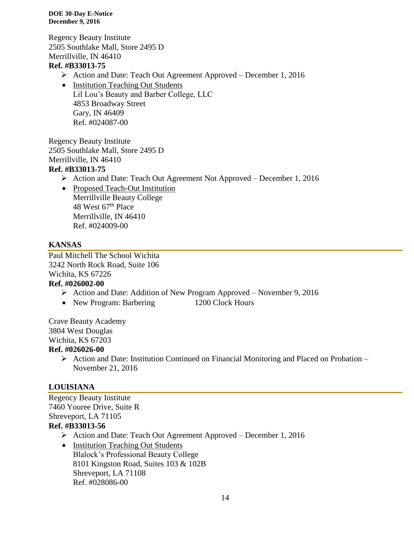Regency Beauty Institute 2505 Southlake Mall, Store 2495 D Merrillville, IN 46410 **Ref. #B33013-75**

- Action and Date: Teach Out Agreement Approved December 1, 2016
- Institution Teaching Out Students Lil Lou's Beauty and Barber College, LLC 4853 Broadway Street Gary, IN 46409 Ref. #024087-00

Regency Beauty Institute 2505 Southlake Mall, Store 2495 D Merrillville, IN 46410 **Ref. #B33013-75**

- Action and Date: Teach Out Agreement Not Approved December 1, 2016
- Proposed Teach-Out Institution Merrillville Beauty College 48 West 67<sup>th</sup> Place Merrillville, IN 46410 Ref. #024009-00

# **KANSAS**

Paul Mitchell The School Wichita 3242 North Rock Road, Suite 106 Wichita, KS 67226

## **Ref. #026002-00**

- $\triangleright$  Action and Date: Addition of New Program Approved November 9, 2016
- New Program: Barbering 1200 Clock Hours

Crave Beauty Academy 3804 West Douglas Wichita, KS 67203

## **Ref. #026026-00**

 $\triangleright$  Action and Date: Institution Continued on Financial Monitoring and Placed on Probation – November 21, 2016

## **LOUISIANA**

Regency Beauty Institute 7460 Youree Drive, Suite R Shreveport, LA 71105 **Ref. #B33013-56**

- Action and Date: Teach Out Agreement Approved December 1, 2016
- Institution Teaching Out Students Blalock's Professional Beauty College 8101 Kingston Road, Suites 103 & 102B Shreveport, LA 71108 Ref. #028086-00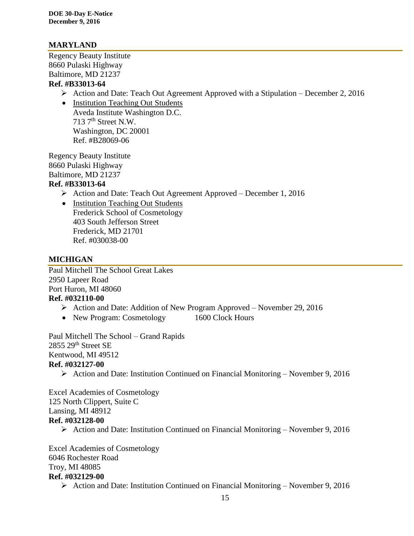# **MARYLAND**

Regency Beauty Institute 8660 Pulaski Highway Baltimore, MD 21237

# **Ref. #B33013-64**

- $\triangleright$  Action and Date: Teach Out Agreement Approved with a Stipulation December 2, 2016
- Institution Teaching Out Students Aveda Institute Washington D.C. 713 7th Street N.W. Washington, DC 20001 Ref. #B28069-06

Regency Beauty Institute 8660 Pulaski Highway Baltimore, MD 21237

# **Ref. #B33013-64**

- Action and Date: Teach Out Agreement Approved December 1, 2016
- Institution Teaching Out Students Frederick School of Cosmetology 403 South Jefferson Street Frederick, MD 21701 Ref. #030038-00

# **MICHIGAN**

Paul Mitchell The School Great Lakes 2950 Lapeer Road Port Huron, MI 48060 **Ref. #032110-00**

- Action and Date: Addition of New Program Approved November 29, 2016
- New Program: Cosmetology 1600 Clock Hours

Paul Mitchell The School – Grand Rapids 2855 29th Street SE Kentwood, MI 49512 **Ref. #032127-00**

Action and Date: Institution Continued on Financial Monitoring – November 9, 2016

Excel Academies of Cosmetology 125 North Clippert, Suite C Lansing, MI 48912 **Ref. #032128-00**

Action and Date: Institution Continued on Financial Monitoring – November 9, 2016

Excel Academies of Cosmetology 6046 Rochester Road Troy, MI 48085 **Ref. #032129-00**

 $\triangleright$  Action and Date: Institution Continued on Financial Monitoring – November 9, 2016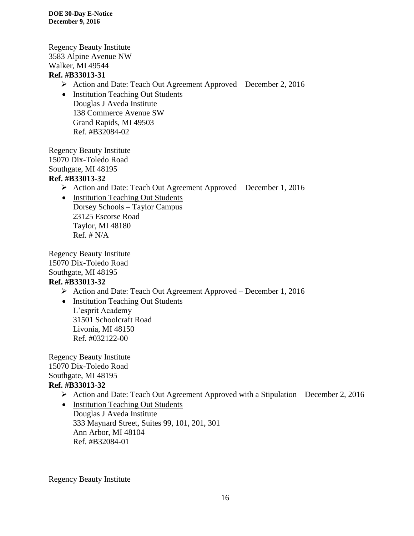Regency Beauty Institute 3583 Alpine Avenue NW Walker, MI 49544 **Ref. #B33013-31**

- Action and Date: Teach Out Agreement Approved December 2, 2016
- Institution Teaching Out Students Douglas J Aveda Institute 138 Commerce Avenue SW Grand Rapids, MI 49503 Ref. #B32084-02

Regency Beauty Institute 15070 Dix-Toledo Road Southgate, MI 48195 **Ref. #B33013-32**

- Action and Date: Teach Out Agreement Approved December 1, 2016
- Institution Teaching Out Students Dorsey Schools – Taylor Campus 23125 Escorse Road Taylor, MI 48180  $Ref. # N/A$

Regency Beauty Institute 15070 Dix-Toledo Road Southgate, MI 48195 **Ref. #B33013-32**

- Action and Date: Teach Out Agreement Approved December 1, 2016
- Institution Teaching Out Students L'esprit Academy 31501 Schoolcraft Road Livonia, MI 48150

Ref. #032122-00

Regency Beauty Institute 15070 Dix-Toledo Road Southgate, MI 48195 **Ref. #B33013-32**

- $\triangleright$  Action and Date: Teach Out Agreement Approved with a Stipulation December 2, 2016
- Institution Teaching Out Students Douglas J Aveda Institute 333 Maynard Street, Suites 99, 101, 201, 301 Ann Arbor, MI 48104 Ref. #B32084-01

Regency Beauty Institute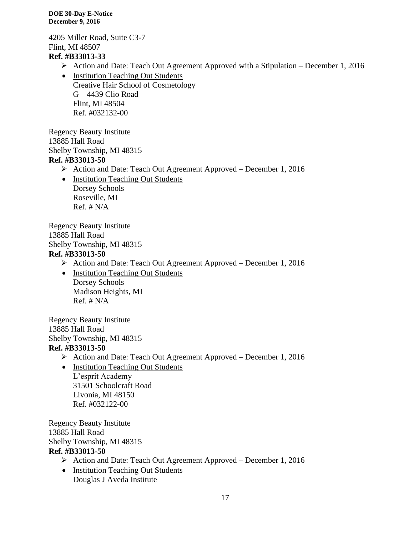4205 Miller Road, Suite C3-7 Flint, MI 48507 **Ref. #B33013-33**

- Action and Date: Teach Out Agreement Approved with a Stipulation December 1, 2016
- Institution Teaching Out Students Creative Hair School of Cosmetology G – 4439 Clio Road Flint, MI 48504 Ref. #032132-00

Regency Beauty Institute 13885 Hall Road Shelby Township, MI 48315 **Ref. #B33013-50**

- Action and Date: Teach Out Agreement Approved December 1, 2016
- Institution Teaching Out Students Dorsey Schools Roseville, MI  $Ref. # N/A$

Regency Beauty Institute 13885 Hall Road Shelby Township, MI 48315 **Ref. #B33013-50**

- Action and Date: Teach Out Agreement Approved December 1, 2016
- Institution Teaching Out Students Dorsey Schools Madison Heights, MI  $Ref. # N/A$

Regency Beauty Institute 13885 Hall Road Shelby Township, MI 48315 **Ref. #B33013-50**

- Action and Date: Teach Out Agreement Approved December 1, 2016
- Institution Teaching Out Students L'esprit Academy 31501 Schoolcraft Road Livonia, MI 48150 Ref. #032122-00

Regency Beauty Institute 13885 Hall Road Shelby Township, MI 48315 **Ref. #B33013-50**

- Action and Date: Teach Out Agreement Approved December 1, 2016
- Institution Teaching Out Students Douglas J Aveda Institute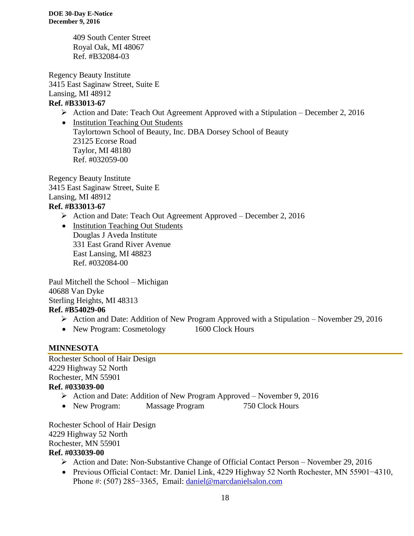409 South Center Street Royal Oak, MI 48067 Ref. #B32084-03

Regency Beauty Institute 3415 East Saginaw Street, Suite E Lansing, MI 48912 **Ref. #B33013-67**

Action and Date: Teach Out Agreement Approved with a Stipulation – December 2, 2016

• Institution Teaching Out Students Taylortown School of Beauty, Inc. DBA Dorsey School of Beauty 23125 Ecorse Road Taylor, MI 48180 Ref. #032059-00

Regency Beauty Institute 3415 East Saginaw Street, Suite E Lansing, MI 48912 **Ref. #B33013-67**

- Action and Date: Teach Out Agreement Approved December 2, 2016
- Institution Teaching Out Students Douglas J Aveda Institute 331 East Grand River Avenue East Lansing, MI 48823 Ref. #032084-00

Paul Mitchell the School – Michigan 40688 Van Dyke Sterling Heights, MI 48313 **Ref. #B54029-06**

- $\triangleright$  Action and Date: Addition of New Program Approved with a Stipulation November 29, 2016
- New Program: Cosmetology 1600 Clock Hours

# **MINNESOTA**

Rochester School of Hair Design 4229 Highway 52 North Rochester, MN 55901 **Ref. #033039-00**

- Action and Date: Addition of New Program Approved November 9, 2016
- New Program: Massage Program 750 Clock Hours

Rochester School of Hair Design 4229 Highway 52 North Rochester, MN 55901

## **Ref. #033039-00**

- Action and Date: Non-Substantive Change of Official Contact Person November 29, 2016
- Previous Official Contact: Mr. Daniel Link, 4229 Highway 52 North Rochester, MN 55901−4310, Phone #: (507) 285−3365, Email: [daniel@marcdanielsalon.com](mailto:daniel@marcdanielsalon.com)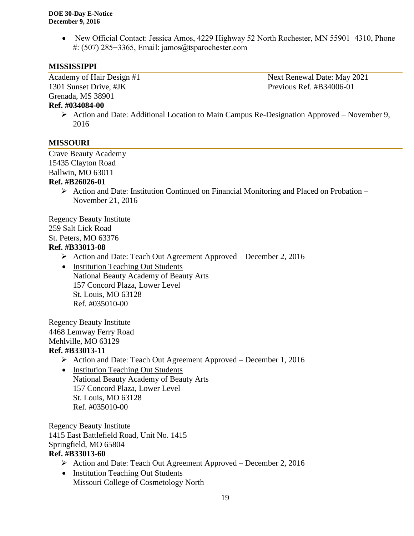New Official Contact: Jessica Amos, 4229 Highway 52 North Rochester, MN 55901−4310, Phone #: (507) 285−3365, Email: jamos@tsparochester.com

# **MISSISSIPPI**

1301 Sunset Drive, #JK Previous Ref. #B34006-01 Grenada, MS 38901

Academy of Hair Design #1 Next Renewal Date: May 2021

## **Ref. #034084-00**

 Action and Date: Additional Location to Main Campus Re-Designation Approved – November 9, 2016

# **MISSOURI**

Crave Beauty Academy 15435 Clayton Road Ballwin, MO 63011

## **Ref. #B26026-01**

 $\triangleright$  Action and Date: Institution Continued on Financial Monitoring and Placed on Probation – November 21, 2016

Regency Beauty Institute 259 Salt Lick Road St. Peters, MO 63376

# **Ref. #B33013-08**

Action and Date: Teach Out Agreement Approved – December 2, 2016

• Institution Teaching Out Students National Beauty Academy of Beauty Arts 157 Concord Plaza, Lower Level St. Louis, MO 63128 Ref. #035010-00

Regency Beauty Institute 4468 Lemway Ferry Road Mehlville, MO 63129

# **Ref. #B33013-11**

- Action and Date: Teach Out Agreement Approved December 1, 2016
- Institution Teaching Out Students National Beauty Academy of Beauty Arts 157 Concord Plaza, Lower Level St. Louis, MO 63128 Ref. #035010-00

Regency Beauty Institute 1415 East Battlefield Road, Unit No. 1415 Springfield, MO 65804 **Ref. #B33013-60**

- Action and Date: Teach Out Agreement Approved December 2, 2016
- Institution Teaching Out Students Missouri College of Cosmetology North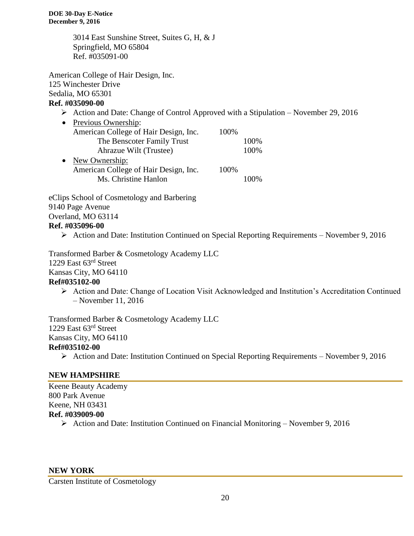3014 East Sunshine Street, Suites G, H, & J Springfield, MO 65804 Ref. #035091-00

American College of Hair Design, Inc. 125 Winchester Drive Sedalia, MO 65301

# **Ref. #035090-00**

- Action and Date: Change of Control Approved with a Stipulation November 29, 2016
- Previous Ownership: American College of Hair Design, Inc. 100% The Benscoter Family Trust 100% Ahrazue Wilt (Trustee) 100% • New Ownership: American College of Hair Design, Inc. 100% Ms. Christine Hanlon 100%

eClips School of Cosmetology and Barbering 9140 Page Avenue Overland, MO 63114 **Ref. #035096-00**

Action and Date: Institution Continued on Special Reporting Requirements – November 9, 2016

Transformed Barber & Cosmetology Academy LLC 1229 East 63rd Street Kansas City, MO 64110 **Ref#035102-00**

 Action and Date: Change of Location Visit Acknowledged and Institution's Accreditation Continued – November 11, 2016

Transformed Barber & Cosmetology Academy LLC 1229 East 63rd Street Kansas City, MO 64110 **Ref#035102-00**

Action and Date: Institution Continued on Special Reporting Requirements – November 9, 2016

# **NEW HAMPSHIRE**

Keene Beauty Academy 800 Park Avenue Keene, NH 03431 **Ref. #039009-00**  $\triangleright$  Action and Date: Institution Continued on Financial Monitoring – November 9, 2016

#### **NEW YORK**

Carsten Institute of Cosmetology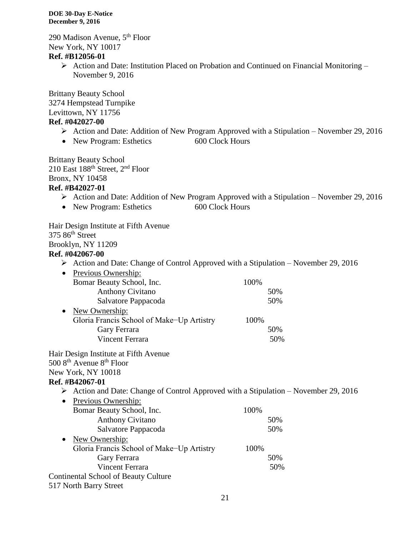290 Madison Avenue, 5th Floor New York, NY 10017

**Ref. #B12056-01**

 $\triangleright$  Action and Date: Institution Placed on Probation and Continued on Financial Monitoring – November 9, 2016

Brittany Beauty School 3274 Hempstead Turnpike Levittown, NY 11756 **Ref. #042027-00**

# $\triangleright$  Action and Date: Addition of New Program Approved with a Stipulation – November 29, 2016

• New Program: Esthetics 600 Clock Hours

Brittany Beauty School 210 East 188th Street, 2nd Floor Bronx, NY 10458 **Ref. #B42027-01**

- Action and Date: Addition of New Program Approved with a Stipulation November 29, 2016
- New Program: Esthetics 600 Clock Hours

Hair Design Institute at Fifth Avenue 375 86<sup>th</sup> Street Brooklyn, NY 11209

# **Ref. #042067-00**

- $\triangleright$  Action and Date: Change of Control Approved with a Stipulation November 29, 2016
- Previous Ownership:

|           | Bomar Beauty School, Inc.                 | 100% |
|-----------|-------------------------------------------|------|
|           | <b>Anthony Civitano</b>                   | 50%  |
|           | Salvatore Pappacoda                       | 50%  |
| $\bullet$ | New Ownership:                            |      |
|           | Gloria Francis School of Make-Up Artistry | 100% |
|           | Gary Ferrara                              | 50%  |
|           | Vincent Ferrara                           | 50%  |

# Hair Design Institute at Fifth Avenue 500 8<sup>th</sup> Avenue 8<sup>th</sup> Floor New York, NY 10018

# **Ref. #B42067-01**

- $\triangleright$  Action and Date: Change of Control Approved with a Stipulation November 29, 2016
- Previous Ownership: Bomar Beauty School, Inc. 100% Anthony Civitano 50% Salvatore Pappacoda 50% • New Ownership: Gloria Francis School of Make−Up Artistry 100% Gary Ferrara 50% Vincent Ferrara 50% Continental School of Beauty Culture 517 North Barry Street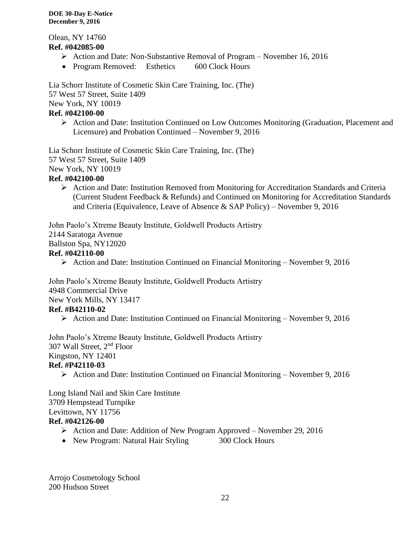Olean, NY 14760 **Ref. #042085-00**

- Action and Date: Non-Substantive Removal of Program November 16, 2016
- Program Removed: Esthetics 600 Clock Hours

Lia Schorr Institute of Cosmetic Skin Care Training, Inc. (The) 57 West 57 Street, Suite 1409 New York, NY 10019 **Ref. #042100-00**

 Action and Date: Institution Continued on Low Outcomes Monitoring (Graduation, Placement and Licensure) and Probation Continued – November 9, 2016

Lia Schorr Institute of Cosmetic Skin Care Training, Inc. (The) 57 West 57 Street, Suite 1409 New York, NY 10019

# **Ref. #042100-00**

 Action and Date: Institution Removed from Monitoring for Accreditation Standards and Criteria (Current Student Feedback & Refunds) and Continued on Monitoring for Accreditation Standards and Criteria (Equivalence, Leave of Absence & SAP Policy) – November 9, 2016

John Paolo's Xtreme Beauty Institute, Goldwell Products Artistry 2144 Saratoga Avenue Ballston Spa, NY12020 **Ref. #042110-00**

Action and Date: Institution Continued on Financial Monitoring – November 9, 2016

John Paolo's Xtreme Beauty Institute, Goldwell Products Artistry 4948 Commercial Drive New York Mills, NY 13417 **Ref. #B42110-02**

Action and Date: Institution Continued on Financial Monitoring – November 9, 2016

John Paolo's Xtreme Beauty Institute, Goldwell Products Artistry 307 Wall Street, 2nd Floor Kingston, NY 12401 **Ref. #P42110-03**

Action and Date: Institution Continued on Financial Monitoring – November 9, 2016

Long Island Nail and Skin Care Institute 3709 Hempstead Turnpike Levittown, NY 11756 **Ref. #042126-00**

- Action and Date: Addition of New Program Approved November 29, 2016
- New Program: Natural Hair Styling 300 Clock Hours

Arrojo Cosmetology School 200 Hudson Street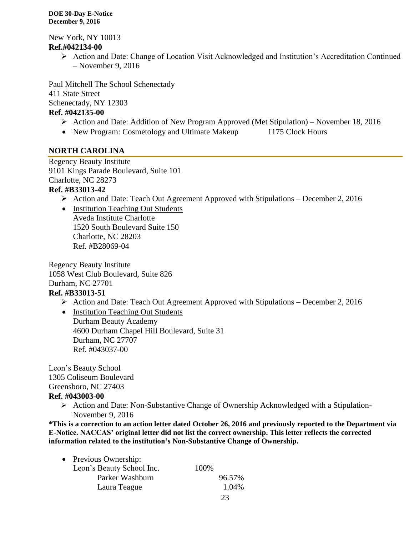New York, NY 10013 **Ref.#042134-00**

> Action and Date: Change of Location Visit Acknowledged and Institution's Accreditation Continued – November 9, 2016

Paul Mitchell The School Schenectady 411 State Street Schenectady, NY 12303

# **Ref. #042135-00**

- $\triangleright$  Action and Date: Addition of New Program Approved (Met Stipulation) November 18, 2016
- New Program: Cosmetology and Ultimate Makeup 1175 Clock Hours

# **NORTH CAROLINA**

Regency Beauty Institute 9101 Kings Parade Boulevard, Suite 101 Charlotte, NC 28273

# **Ref. #B33013-42**

- $\triangleright$  Action and Date: Teach Out Agreement Approved with Stipulations December 2, 2016
- Institution Teaching Out Students

Aveda Institute Charlotte 1520 South Boulevard Suite 150 Charlotte, NC 28203 Ref. #B28069-04

Regency Beauty Institute 1058 West Club Boulevard, Suite 826 Durham, NC 27701 **Ref. #B33013-51**

 $\triangleright$  Action and Date: Teach Out Agreement Approved with Stipulations – December 2, 2016

• Institution Teaching Out Students Durham Beauty Academy 4600 Durham Chapel Hill Boulevard, Suite 31 Durham, NC 27707 Ref. #043037-00

Leon's Beauty School 1305 Coliseum Boulevard Greensboro, NC 27403

# **Ref. #043003-00**

Action and Date: Non-Substantive Change of Ownership Acknowledged with a Stipulation-November 9, 2016

**\*This is a correction to an action letter dated October 26, 2016 and previously reported to the Department via E-Notice. NACCAS' original letter did not list the correct ownership. This letter reflects the corrected information related to the institution's Non-Substantive Change of Ownership.**

| $\bullet$ | Previous Ownership:       |      |        |
|-----------|---------------------------|------|--------|
|           | Leon's Beauty School Inc. | 100% |        |
|           | Parker Washburn           |      | 96.57% |
|           | Laura Teague              |      | 1.04%  |
|           |                           |      |        |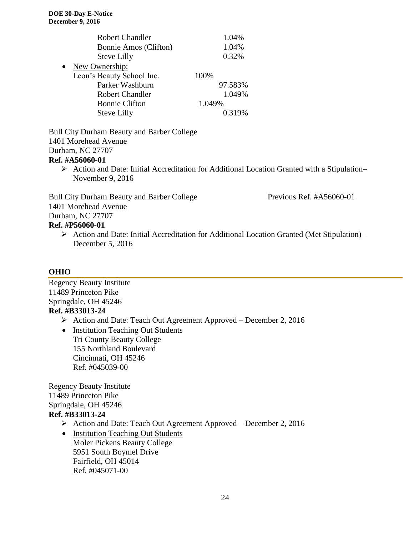|           | <b>Robert Chandler</b>    | 1.04%   |
|-----------|---------------------------|---------|
|           | Bonnie Amos (Clifton)     | 1.04%   |
|           | <b>Steve Lilly</b>        | 0.32%   |
| $\bullet$ | New Ownership:            |         |
|           | Leon's Beauty School Inc. | 100%    |
|           | Parker Washburn           | 97.583% |
|           | <b>Robert Chandler</b>    | 1.049%  |
|           | <b>Bonnie Clifton</b>     | 1.049%  |
|           | Steve Lilly               | 0.319%  |

Bull City Durham Beauty and Barber College 1401 Morehead Avenue Durham, NC 27707 **Ref. #A56060-01**

 Action and Date: Initial Accreditation for Additional Location Granted with a Stipulation– November 9, 2016

Bull City Durham Beauty and Barber College Previous Ref. #A56060-01 1401 Morehead Avenue Durham, NC 27707 **Ref. #P56060-01**

 Action and Date: Initial Accreditation for Additional Location Granted (Met Stipulation) – December 5, 2016

# **OHIO**

Regency Beauty Institute 11489 Princeton Pike Springdale, OH 45246 **Ref. #B33013-24**

Action and Date: Teach Out Agreement Approved – December 2, 2016

• Institution Teaching Out Students Tri County Beauty College 155 Northland Boulevard Cincinnati, OH 45246 Ref. #045039-00

Regency Beauty Institute 11489 Princeton Pike Springdale, OH 45246 **Ref. #B33013-24**

- Action and Date: Teach Out Agreement Approved December 2, 2016
- Institution Teaching Out Students Moler Pickens Beauty College 5951 South Boymel Drive Fairfield, OH 45014 Ref. #045071-00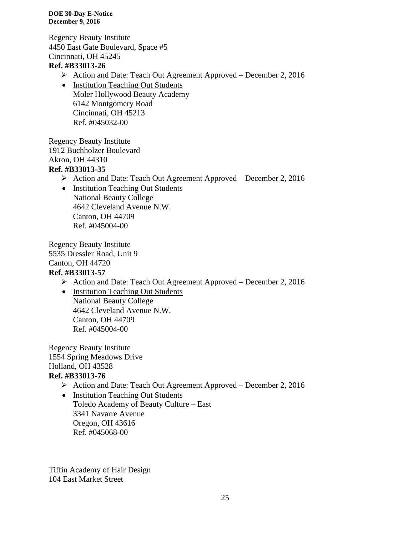Regency Beauty Institute 4450 East Gate Boulevard, Space #5 Cincinnati, OH 45245

# **Ref. #B33013-26**

- $\triangleright$  Action and Date: Teach Out Agreement Approved December 2, 2016
- Institution Teaching Out Students Moler Hollywood Beauty Academy 6142 Montgomery Road Cincinnati, OH 45213 Ref. #045032-00

Regency Beauty Institute 1912 Buchholzer Boulevard Akron, OH 44310 **Ref. #B33013-35**

- Action and Date: Teach Out Agreement Approved December 2, 2016
	- Institution Teaching Out Students National Beauty College 4642 Cleveland Avenue N.W. Canton, OH 44709 Ref. #045004-00

Regency Beauty Institute 5535 Dressler Road, Unit 9 Canton, OH 44720 **Ref. #B33013-57**

- Action and Date: Teach Out Agreement Approved December 2, 2016
- Institution Teaching Out Students National Beauty College 4642 Cleveland Avenue N.W. Canton, OH 44709 Ref. #045004-00

Regency Beauty Institute 1554 Spring Meadows Drive Holland, OH 43528 **Ref. #B33013-76**

- Action and Date: Teach Out Agreement Approved December 2, 2016
- Institution Teaching Out Students Toledo Academy of Beauty Culture – East 3341 Navarre Avenue Oregon, OH 43616 Ref. #045068-00

Tiffin Academy of Hair Design 104 East Market Street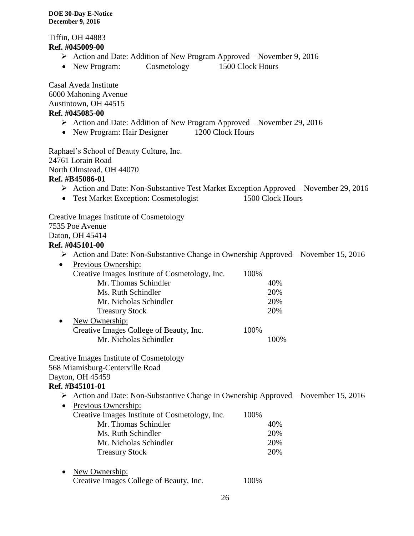Tiffin, OH 44883 **Ref. #045009-00**

- $\triangleright$  Action and Date: Addition of New Program Approved November 9, 2016
- New Program: Cosmetology 1500 Clock Hours

Casal Aveda Institute 6000 Mahoning Avenue Austintown, OH 44515 **Ref. #045085-00**

- Action and Date: Addition of New Program Approved November 29, 2016
- New Program: Hair Designer 1200 Clock Hours

Raphael's School of Beauty Culture, Inc. 24761 Lorain Road North Olmstead, OH 44070 **Ref. #B45086-01**

- Action and Date: Non-Substantive Test Market Exception Approved November 29, 2016
- Test Market Exception: Cosmetologist 1500 Clock Hours

Creative Images Institute of Cosmetology

7535 Poe Avenue

Daton, OH 45414

# **Ref. #045101-00**

- Action and Date: Non-Substantive Change in Ownership Approved November 15, 2016
- Previous Ownership: Creative Images Institute of Cosmetology, Inc. 100% Mr. Thomas Schindler 40% Ms. Ruth Schindler 20% Mr. Nicholas Schindler 20% Treasury Stock 20%
- New Ownership: Creative Images College of Beauty, Inc. 100% Mr. Nicholas Schindler 100%

Creative Images Institute of Cosmetology 568 Miamisburg-Centerville Road Dayton, OH 45459

# **Ref. #B45101-01**

- Action and Date: Non-Substantive Change in Ownership Approved November 15, 2016
- Previous Ownership: Creative Images Institute of Cosmetology, Inc. 100% Mr. Thomas Schindler 40% Ms. Ruth Schindler 20% Mr. Nicholas Schindler 20% Treasury Stock 20%
- New Ownership: Creative Images College of Beauty, Inc. 100%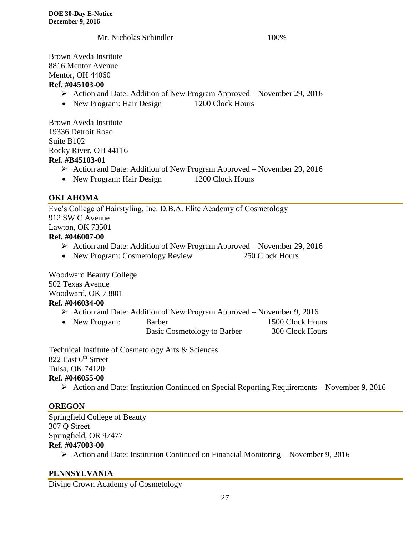Mr. Nicholas Schindler 100%

Brown Aveda Institute 8816 Mentor Avenue Mentor, OH 44060 **Ref. #045103-00**

# Action and Date: Addition of New Program Approved – November 29, 2016

• New Program: Hair Design 1200 Clock Hours

Brown Aveda Institute 19336 Detroit Road Suite B102 Rocky River, OH 44116 **Ref. #B45103-01**

- Action and Date: Addition of New Program Approved November 29, 2016
- New Program: Hair Design 1200 Clock Hours

# **OKLAHOMA**

Eve's College of Hairstyling, Inc. D.B.A. Elite Academy of Cosmetology 912 SW C Avenue Lawton, OK 73501 **Ref. #046007-00**

- Action and Date: Addition of New Program Approved November 29, 2016
- New Program: Cosmetology Review 250 Clock Hours

Woodward Beauty College 502 Texas Avenue Woodward, OK 73801

# **Ref. #046034-00**

- Action and Date: Addition of New Program Approved November 9, 2016
- New Program: Barber 1500 Clock Hours
	- Basic Cosmetology to Barber 300 Clock Hours

Technical Institute of Cosmetology Arts & Sciences 822 East 6<sup>th</sup> Street Tulsa, OK 74120 **Ref. #046055-00**

Action and Date: Institution Continued on Special Reporting Requirements – November 9, 2016

# **OREGON**

Springfield College of Beauty 307 Q Street Springfield, OR 97477 **Ref. #047003-00**

 $\triangleright$  Action and Date: Institution Continued on Financial Monitoring – November 9, 2016

# **PENNSYLVANIA**

Divine Crown Academy of Cosmetology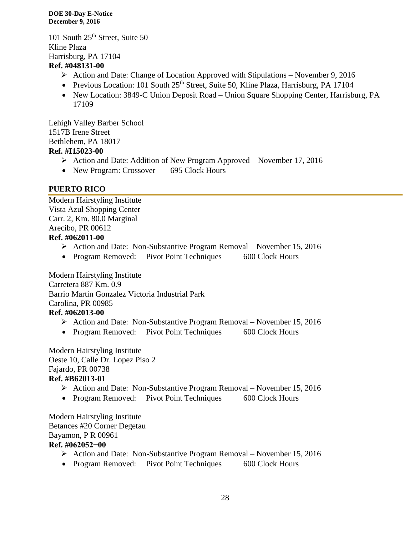101 South 25<sup>th</sup> Street, Suite 50 Kline Plaza Harrisburg, PA 17104

# **Ref. #048131-00**

- Action and Date: Change of Location Approved with Stipulations November 9, 2016
- Previous Location: 101 South  $25<sup>th</sup>$  Street, Suite 50, Kline Plaza, Harrisburg, PA 17104
- New Location: 3849-C Union Deposit Road Union Square Shopping Center, Harrisburg, PA 17109

Lehigh Valley Barber School 1517B Irene Street Bethlehem, PA 18017 **Ref. #I15023-00**

- Action and Date: Addition of New Program Approved November 17, 2016
- New Program: Crossover 695 Clock Hours

# **PUERTO RICO**

Modern Hairstyling Institute Vista Azul Shopping Center Carr. 2, Km. 80.0 Marginal Arecibo, PR 00612 **Ref. #062011-00**

- Action and Date: Non-Substantive Program Removal November 15, 2016
- Program Removed: Pivot Point Techniques 600 Clock Hours

Modern Hairstyling Institute Carretera 887 Km. 0.9 Barrio Martin Gonzalez Victoria Industrial Park Carolina, PR 00985 **Ref. #062013-00**

- $\triangleright$  Action and Date: Non-Substantive Program Removal November 15, 2016
- Program Removed: Pivot Point Techniques 600 Clock Hours

Modern Hairstyling Institute Oeste 10, Calle Dr. Lopez Piso 2 Fajardo, PR 00738 **Ref. #B62013-01**

- $\triangleright$  Action and Date: Non-Substantive Program Removal November 15, 2016
- Program Removed: Pivot Point Techniques 600 Clock Hours

Modern Hairstyling Institute Betances #20 Corner Degetau Bayamon, P R 00961 **Ref. #062052−00** 

- Action and Date: Non-Substantive Program Removal November 15, 2016
- Program Removed: Pivot Point Techniques 600 Clock Hours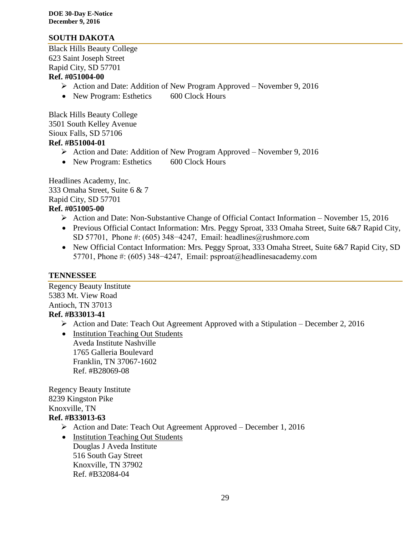# **SOUTH DAKOTA**

Black Hills Beauty College 623 Saint Joseph Street Rapid City, SD 57701

# **Ref. #051004-00**

- Action and Date: Addition of New Program Approved November 9, 2016
- New Program: Esthetics 600 Clock Hours

Black Hills Beauty College 3501 South Kelley Avenue Sioux Falls, SD 57106 **Ref. #B51004-01**

- $\triangleright$  Action and Date: Addition of New Program Approved November 9, 2016
- New Program: Esthetics 600 Clock Hours

Headlines Academy, Inc. 333 Omaha Street, Suite 6 & 7 Rapid City, SD 57701 **Ref. #051005-00**

- $\triangleright$  Action and Date: Non-Substantive Change of Official Contact Information November 15, 2016
- Previous Official Contact Information: Mrs. Peggy Sproat, 333 Omaha Street, Suite 6&7 Rapid City, SD 57701, Phone #: (605) 348–4247, Email: headlines@rushmore.com
- New Official Contact Information: Mrs. Peggy Sproat, 333 Omaha Street, Suite 6&7 Rapid City, SD 57701, Phone #: (605) 348−4247, Email: psproat@headlinesacademy.com

## **TENNESSEE**

Regency Beauty Institute 5383 Mt. View Road Antioch, TN 37013 **Ref. #B33013-41**

- $\triangleright$  Action and Date: Teach Out Agreement Approved with a Stipulation December 2, 2016
- Institution Teaching Out Students Aveda Institute Nashville 1765 Galleria Boulevard Franklin, TN 37067-1602 Ref. #B28069-08

Regency Beauty Institute 8239 Kingston Pike Knoxville, TN **Ref. #B33013-63**

- Action and Date: Teach Out Agreement Approved December 1, 2016
- Institution Teaching Out Students Douglas J Aveda Institute 516 South Gay Street Knoxville, TN 37902 Ref. #B32084-04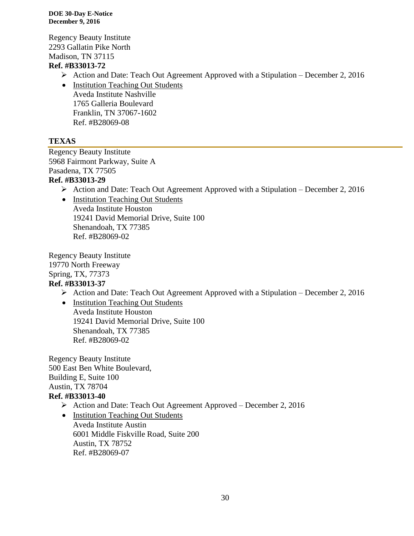Regency Beauty Institute 2293 Gallatin Pike North Madison, TN 37115

# **Ref. #B33013-72**

- Action and Date: Teach Out Agreement Approved with a Stipulation December 2, 2016
- Institution Teaching Out Students Aveda Institute Nashville 1765 Galleria Boulevard Franklin, TN 37067-1602 Ref. #B28069-08

# **TEXAS**

Regency Beauty Institute 5968 Fairmont Parkway, Suite A Pasadena, TX 77505 **Ref. #B33013-29**

- $\triangleright$  Action and Date: Teach Out Agreement Approved with a Stipulation December 2, 2016
- Institution Teaching Out Students Aveda Institute Houston 19241 David Memorial Drive, Suite 100 Shenandoah, TX 77385 Ref. #B28069-02

Regency Beauty Institute 19770 North Freeway Spring, TX, 77373 **Ref. #B33013-37**

 $\triangleright$  Action and Date: Teach Out Agreement Approved with a Stipulation – December 2, 2016

• Institution Teaching Out Students Aveda Institute Houston 19241 David Memorial Drive, Suite 100 Shenandoah, TX 77385 Ref. #B28069-02

Regency Beauty Institute 500 East Ben White Boulevard, Building E, Suite 100 Austin, TX 78704 **Ref. #B33013-40**

- Action and Date: Teach Out Agreement Approved December 2, 2016
- Institution Teaching Out Students Aveda Institute Austin 6001 Middle Fiskville Road, Suite 200 Austin, TX 78752 Ref. #B28069-07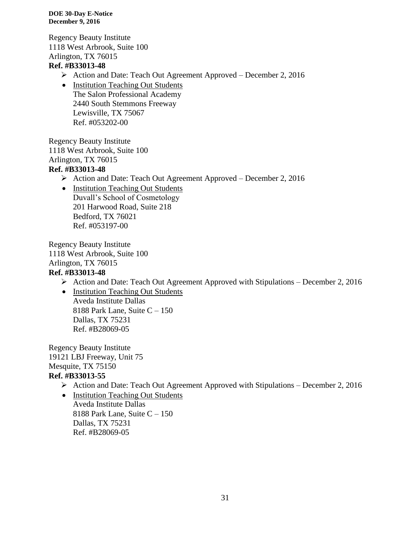Regency Beauty Institute 1118 West Arbrook, Suite 100 Arlington, TX 76015 **Ref. #B33013-48**

- Action and Date: Teach Out Agreement Approved December 2, 2016
- Institution Teaching Out Students The Salon Professional Academy 2440 South Stemmons Freeway Lewisville, TX 75067 Ref. #053202-00

Regency Beauty Institute 1118 West Arbrook, Suite 100 Arlington, TX 76015 **Ref. #B33013-48**

- Action and Date: Teach Out Agreement Approved December 2, 2016
- Institution Teaching Out Students Duvall's School of Cosmetology 201 Harwood Road, Suite 218 Bedford, TX 76021 Ref. #053197-00

Regency Beauty Institute 1118 West Arbrook, Suite 100 Arlington, TX 76015 **Ref. #B33013-48**

- $\triangleright$  Action and Date: Teach Out Agreement Approved with Stipulations December 2, 2016
- Institution Teaching Out Students Aveda Institute Dallas 8188 Park Lane, Suite C – 150 Dallas, TX 75231 Ref. #B28069-05

Regency Beauty Institute 19121 LBJ Freeway, Unit 75 Mesquite, TX 75150 **Ref. #B33013-55**

- $\triangleright$  Action and Date: Teach Out Agreement Approved with Stipulations December 2, 2016
- Institution Teaching Out Students Aveda Institute Dallas 8188 Park Lane, Suite C – 150 Dallas, TX 75231 Ref. #B28069-05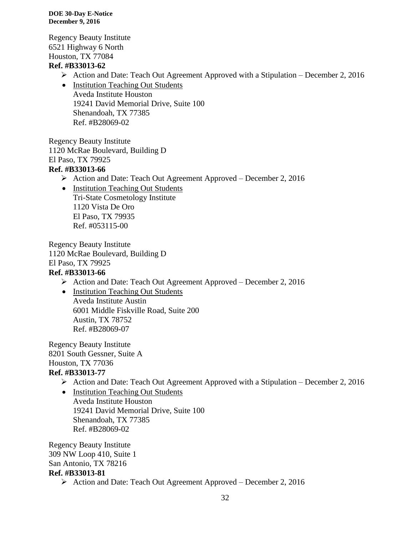Regency Beauty Institute 6521 Highway 6 North Houston, TX 77084

# **Ref. #B33013-62**

- Action and Date: Teach Out Agreement Approved with a Stipulation December 2, 2016
- Institution Teaching Out Students Aveda Institute Houston 19241 David Memorial Drive, Suite 100 Shenandoah, TX 77385 Ref. #B28069-02

Regency Beauty Institute 1120 McRae Boulevard, Building D El Paso, TX 79925

# **Ref. #B33013-66**

- Action and Date: Teach Out Agreement Approved December 2, 2016
- Institution Teaching Out Students Tri-State Cosmetology Institute 1120 Vista De Oro El Paso, TX 79935 Ref. #053115-00

Regency Beauty Institute 1120 McRae Boulevard, Building D El Paso, TX 79925 **Ref. #B33013-66**

- Action and Date: Teach Out Agreement Approved December 2, 2016
- Institution Teaching Out Students Aveda Institute Austin 6001 Middle Fiskville Road, Suite 200 Austin, TX 78752 Ref. #B28069-07

Regency Beauty Institute 8201 South Gessner, Suite A Houston, TX 77036

# **Ref. #B33013-77**

Action and Date: Teach Out Agreement Approved with a Stipulation – December 2, 2016

• Institution Teaching Out Students Aveda Institute Houston 19241 David Memorial Drive, Suite 100 Shenandoah, TX 77385 Ref. #B28069-02

Regency Beauty Institute 309 NW Loop 410, Suite 1 San Antonio, TX 78216 **Ref. #B33013-81** Action and Date: Teach Out Agreement Approved – December 2, 2016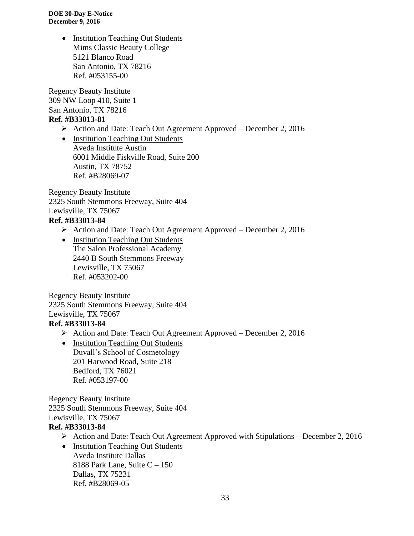> • Institution Teaching Out Students Mims Classic Beauty College 5121 Blanco Road San Antonio, TX 78216 Ref. #053155-00

Regency Beauty Institute 309 NW Loop 410, Suite 1 San Antonio, TX 78216 **Ref. #B33013-81**

- Action and Date: Teach Out Agreement Approved December 2, 2016
- Institution Teaching Out Students Aveda Institute Austin 6001 Middle Fiskville Road, Suite 200 Austin, TX 78752 Ref. #B28069-07

Regency Beauty Institute 2325 South Stemmons Freeway, Suite 404 Lewisville, TX 75067

# **Ref. #B33013-84**

Action and Date: Teach Out Agreement Approved – December 2, 2016

• Institution Teaching Out Students The Salon Professional Academy 2440 B South Stemmons Freeway Lewisville, TX 75067 Ref. #053202-00

Regency Beauty Institute 2325 South Stemmons Freeway, Suite 404 Lewisville, TX 75067

# **Ref. #B33013-84**

- Action and Date: Teach Out Agreement Approved December 2, 2016
- Institution Teaching Out Students Duvall's School of Cosmetology 201 Harwood Road, Suite 218 Bedford, TX 76021 Ref. #053197-00

Regency Beauty Institute 2325 South Stemmons Freeway, Suite 404 Lewisville, TX 75067

# **Ref. #B33013-84**

- $\triangleright$  Action and Date: Teach Out Agreement Approved with Stipulations December 2, 2016
- Institution Teaching Out Students Aveda Institute Dallas 8188 Park Lane, Suite  $C - 150$ Dallas, TX 75231 Ref. #B28069-05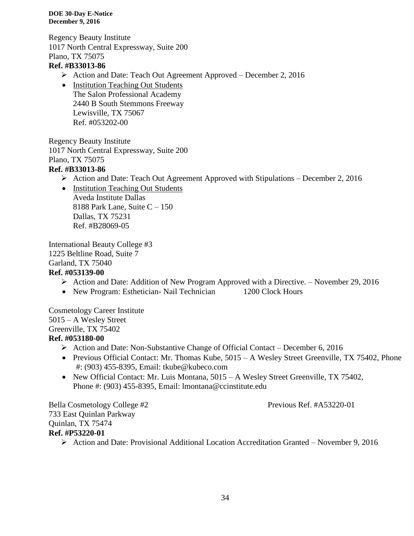Regency Beauty Institute 1017 North Central Expressway, Suite 200 Plano, TX 75075

# **Ref. #B33013-86**

- Action and Date: Teach Out Agreement Approved December 2, 2016
- Institution Teaching Out Students The Salon Professional Academy 2440 B South Stemmons Freeway Lewisville, TX 75067 Ref. #053202-00

Regency Beauty Institute 1017 North Central Expressway, Suite 200 Plano, TX 75075

# **Ref. #B33013-86**

- $\triangleright$  Action and Date: Teach Out Agreement Approved with Stipulations December 2, 2016
- Institution Teaching Out Students Aveda Institute Dallas 8188 Park Lane, Suite  $C - 150$ Dallas, TX 75231 Ref. #B28069-05

International Beauty College #3 1225 Beltline Road, Suite 7 Garland, TX 75040 **Ref. #053139-00**

- Action and Date: Addition of New Program Approved with a Directive. November 29, 2016
- New Program: Esthetician- Nail Technician 1200 Clock Hours

Cosmetology Career Institute 5015 – A Wesley Street Greenville, TX 75402 **Ref. #053180-00**

- $\triangleright$  Action and Date: Non-Substantive Change of Official Contact December 6, 2016
- Previous Official Contact: Mr. Thomas Kube, 5015 A Wesley Street Greenville, TX 75402, Phone #: (903) 455-8395, Email: tkube@kubeco.com
- New Official Contact: Mr. Luis Montana, 5015 A Wesley Street Greenville, TX 75402, Phone #: (903) 455-8395, Email: lmontana@ccinstitute.edu

Bella Cosmetology College #2 Previous Ref. #A53220-01 733 East Quinlan Parkway Quinlan, TX 75474 **Ref. #P53220-01**

 $\triangleright$  Action and Date: Provisional Additional Location Accreditation Granted – November 9, 2016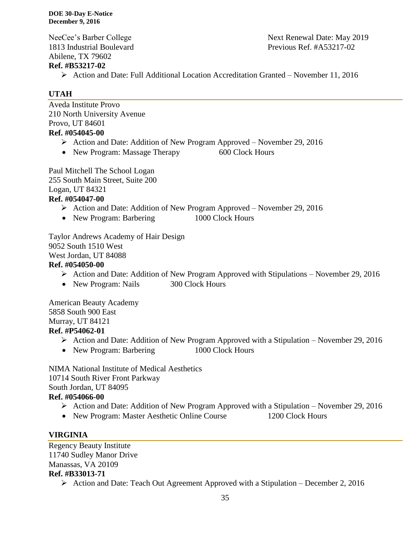Abilene, TX 79602

## **Ref. #B53217-02**

Action and Date: Full Additional Location Accreditation Granted – November 11, 2016

# **UTAH**

Aveda Institute Provo 210 North University Avenue Provo, UT 84601 **Ref. #054045-00**

- Action and Date: Addition of New Program Approved November 29, 2016
- New Program: Massage Therapy 600 Clock Hours

Paul Mitchell The School Logan 255 South Main Street, Suite 200 Logan, UT 84321 **Ref. #054047-00**

- Action and Date: Addition of New Program Approved November 29, 2016
- New Program: Barbering 1000 Clock Hours

Taylor Andrews Academy of Hair Design 9052 South 1510 West West Jordan, UT 84088 **Ref. #054050-00**

- $\triangleright$  Action and Date: Addition of New Program Approved with Stipulations November 29, 2016
- New Program: Nails 300 Clock Hours

American Beauty Academy 5858 South 900 East Murray, UT 84121 **Ref. #P54062-01**

- $\triangleright$  Action and Date: Addition of New Program Approved with a Stipulation November 29, 2016
- New Program: Barbering 1000 Clock Hours

NIMA National Institute of Medical Aesthetics 10714 South River Front Parkway South Jordan, UT 84095

# **Ref. #054066-00**

- Action and Date: Addition of New Program Approved with a Stipulation November 29, 2016
- New Program: Master Aesthetic Online Course 1200 Clock Hours

# **VIRGINIA**

Regency Beauty Institute 11740 Sudley Manor Drive Manassas, VA 20109 **Ref. #B33013-71**

 $\triangleright$  Action and Date: Teach Out Agreement Approved with a Stipulation – December 2, 2016

NeeCee's Barber College Next Renewal Date: May 2019 1813 Industrial Boulevard Previous Ref. #A53217-02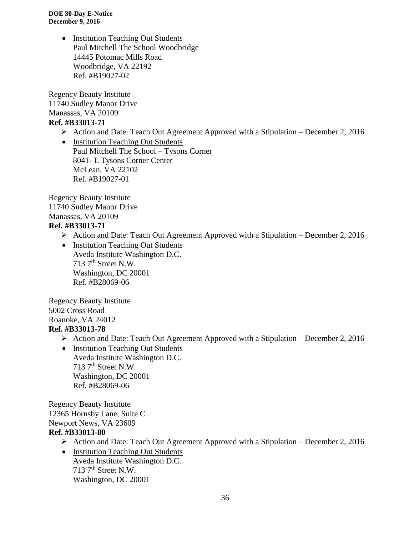> • Institution Teaching Out Students Paul Mitchell The School Woodbridge 14445 Potomac Mills Road Woodbridge, VA 22192 Ref. #B19027-02

Regency Beauty Institute 11740 Sudley Manor Drive Manassas, VA 20109

# **Ref. #B33013-71**

 $\triangleright$  Action and Date: Teach Out Agreement Approved with a Stipulation – December 2, 2016

• Institution Teaching Out Students Paul Mitchell The School – Tysons Corner 8041- L Tysons Corner Center McLean, VA 22102 Ref. #B19027-01

Regency Beauty Institute 11740 Sudley Manor Drive Manassas, VA 20109 **Ref. #B33013-71**

- $\triangleright$  Action and Date: Teach Out Agreement Approved with a Stipulation December 2, 2016
- Institution Teaching Out Students Aveda Institute Washington D.C.  $713$  7<sup>th</sup> Street N.W. Washington, DC 20001 Ref. #B28069-06

Regency Beauty Institute 5002 Cross Road Roanoke, VA 24012 **Ref. #B33013-78**

- $\triangleright$  Action and Date: Teach Out Agreement Approved with a Stipulation December 2, 2016
- Institution Teaching Out Students Aveda Institute Washington D.C. 713  $7<sup>th</sup>$  Street N.W. Washington, DC 20001 Ref. #B28069-06

Regency Beauty Institute 12365 Hornsby Lane, Suite C Newport News, VA 23609 **Ref. #B33013-80**

- $\triangleright$  Action and Date: Teach Out Agreement Approved with a Stipulation December 2, 2016
- Institution Teaching Out Students Aveda Institute Washington D.C.  $713$   $7<sup>th</sup>$  Street N.W. Washington, DC 20001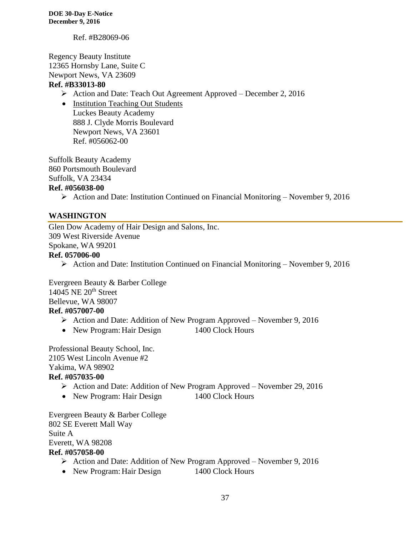Ref. #B28069-06

Regency Beauty Institute 12365 Hornsby Lane, Suite C Newport News, VA 23609

## **Ref. #B33013-80**

- Action and Date: Teach Out Agreement Approved December 2, 2016
- Institution Teaching Out Students Luckes Beauty Academy 888 J. Clyde Morris Boulevard Newport News, VA 23601 Ref. #056062-00

Suffolk Beauty Academy

860 Portsmouth Boulevard

Suffolk, VA 23434

## **Ref. #056038-00**

 $\triangleright$  Action and Date: Institution Continued on Financial Monitoring – November 9, 2016

## **WASHINGTON**

Glen Dow Academy of Hair Design and Salons, Inc. 309 West Riverside Avenue Spokane, WA 99201 **Ref. 057006-00**

Action and Date: Institution Continued on Financial Monitoring – November 9, 2016

Evergreen Beauty & Barber College 14045 NE 20<sup>th</sup> Street Bellevue, WA 98007 **Ref. #057007-00**

- $\triangleright$  Action and Date: Addition of New Program Approved November 9, 2016
- New Program: Hair Design 1400 Clock Hours

Professional Beauty School, Inc. 2105 West Lincoln Avenue #2 Yakima, WA 98902 **Ref. #057035-00**

- Action and Date: Addition of New Program Approved November 29, 2016
- New Program: Hair Design 1400 Clock Hours

Evergreen Beauty & Barber College 802 SE Everett Mall Way Suite A Everett, WA 98208 **Ref. #057058-00**

- $\triangleright$  Action and Date: Addition of New Program Approved November 9, 2016
- New Program: Hair Design 1400 Clock Hours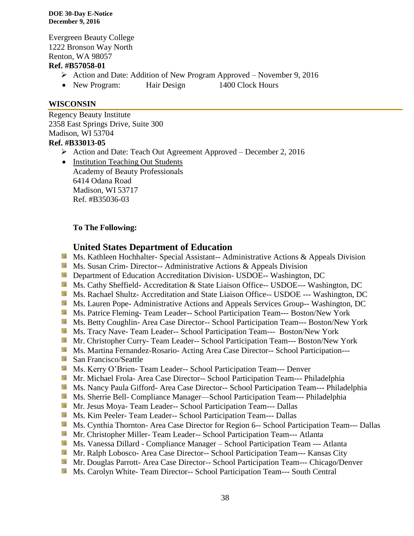Evergreen Beauty College 1222 Bronson Way North Renton, WA 98057

#### **Ref. #B57058-01**

- Action and Date: Addition of New Program Approved November 9, 2016
- New Program: Hair Design 1400 Clock Hours

## **WISCONSIN**

Regency Beauty Institute 2358 East Springs Drive, Suite 300 Madison, WI 53704 **Ref. #B33013-05**

Action and Date: Teach Out Agreement Approved – December 2, 2016

• Institution Teaching Out Students Academy of Beauty Professionals 6414 Odana Road Madison, WI 53717 Ref. #B35036-03

# **To The Following:**

# **United States Department of Education**

- **Ms. Kathleen Hochhalter- Special Assistant-- Administrative Actions & Appeals Division**
- **Ms. Susan Crim- Director-- Administrative Actions & Appeals Division**
- **Department of Education Accreditation Division- USDOE-- Washington, DC**
- Ms. Cathy Sheffield- Accreditation & State Liaison Office-- USDOE--- Washington, DC
- **Ms. Rachael Shultz- Accreditation and State Liaison Office-- USDOE --- Washington, DC**
- **Ms. Lauren Pope- Administrative Actions and Appeals Services Group-- Washington, DC**
- **MS. Patrice Fleming- Team Leader-- School Participation Team--- Boston/New York**
- Ms. Betty Coughlin- Area Case Director-- School Participation Team--- Boston/New York
- Ms. Tracy Nave-Team Leader-- School Participation Team--- Boston/New York
- Mr. Christopher Curry- Team Leader-- School Participation Team--- Boston/New York
- **Ms. Martina Fernandez-Rosario- Acting Area Case Director-- School Participation---**
- **San Francisco/Seattle**
- **Ms. Kerry O'Brien- Team Leader-- School Participation Team--- Denver**
- Mr. Michael Frola- Area Case Director-- School Participation Team--- Philadelphia
- Ms. Nancy Paula Gifford- Area Case Director-- School Participation Team--- Philadelphia
- Ms. Sherrie Bell- Compliance Manager—School Participation Team--- Philadelphia
- **Mr. Jesus Moya- Team Leader-- School Participation Team--- Dallas**
- Ms. Kim Peeler- Team Leader-- School Participation Team--- Dallas
- **MS.** Cynthia Thornton- Area Case Director for Region 6-- School Participation Team--- Dallas
- **Mr. Christopher Miller-Team Leader-- School Participation Team--- Atlanta**
- **Ms. Vanessa Dillard Compliance Manager School Participation Team --- Atlanta**
- Mr. Ralph Lobosco- Area Case Director-- School Participation Team--- Kansas City
- **Mr. Douglas Parrott- Area Case Director-- School Participation Team--- Chicago/Denver**
- Ms. Carolyn White-Team Director-- School Participation Team--- South Central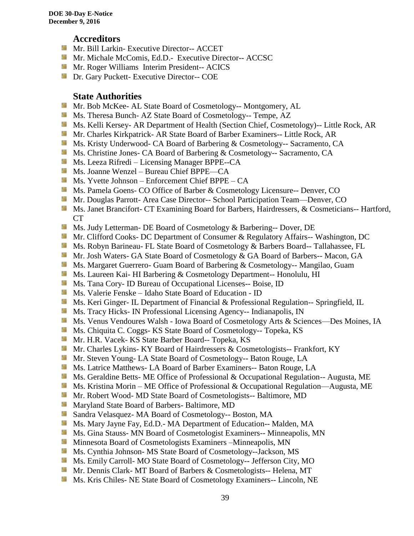# **Accreditors**

- Mr. Bill Larkin- Executive Director-- ACCET
- **Mr. Michale McComis, Ed.D.- Executive Director-- ACCSC**
- **Mr. Roger Williams Interim President-- ACICS**
- **Dr.** Gary Puckett- Executive Director-- COE

# **State Authorities**

- **Mr. Bob McKee- AL State Board of Cosmetology-- Montgomery, AL**
- Ms. Theresa Bunch- AZ State Board of Cosmetology-- Tempe, AZ
- Ms. Kelli Kersey- AR Department of Health (Section Chief, Cosmetology)-- Little Rock, AR
- Mr. Charles Kirkpatrick- AR State Board of Barber Examiners-- Little Rock, AR
- Ms. Kristy Underwood- CA Board of Barbering & Cosmetology-- Sacramento, CA
- Ms. Christine Jones- CA Board of Barbering & Cosmetology-- Sacramento, CA
- Ms. Leeza Rifredi Licensing Manager BPPE--CA
- Ms. Joanne Wenzel Bureau Chief BPPE—CA
- Ms. Yvette Johnson Enforcement Chief BPPE CA
- Ms. Pamela Goens- CO Office of Barber & Cosmetology Licensure-- Denver, CO
- Mr. Douglas Parrott- Area Case Director-- School Participation Team—Denver, CO
- Ms. Janet Brancifort- CT Examining Board for Barbers, Hairdressers, & Cosmeticians-- Hartford, CT
- Ms. Judy Letterman- DE Board of Cosmetology & Barbering-- Dover, DE
- Mr. Clifford Cooks- DC Department of Consumer & Regulatory Affairs-- Washington, DC
- **Ms. Robyn Barineau- FL State Board of Cosmetology & Barbers Board-- Tallahassee, FL**
- Mr. Josh Waters- GA State Board of Cosmetology & GA Board of Barbers-- Macon, GA
- **Ms. Margaret Guerrero- Guam Board of Barbering & Cosmetology-- Mangilao, Guam**
- **Ms. Laureen Kai- HI Barbering & Cosmetology Department-- Honolulu, HI**
- **Ms.** Tana Cory- ID Bureau of Occupational Licenses-- Boise, ID
- Ms. Valerie Fenske Idaho State Board of Education ID
- **Ms. Keri Ginger- IL Department of Financial & Professional Regulation-- Springfield, IL**
- **Ms.** Tracy Hicks- IN Professional Licensing Agency-- Indianapolis, IN
- Ms. Venus Vendoures Walsh Iowa Board of Cosmetology Arts & Sciences—Des Moines, IA
- **Ms.** Chiquita C. Coggs- KS State Board of Cosmetology-- Topeka, KS
- Mr. H.R. Vacek- KS State Barber Board-- Topeka, KS
- **Mr. Charles Lykins- KY Board of Hairdressers & Cosmetologists-- Frankfort, KY**
- **Mr. Steven Young- LA State Board of Cosmetology-- Baton Rouge, LA**
- **Ms. Latrice Matthews- LA Board of Barber Examiners-- Baton Rouge, LA**
- Ms. Geraldine Betts- ME Office of Professional & Occupational Regulation-- Augusta, ME
- Ms. Kristina Morin ME Office of Professional & Occupational Regulation—Augusta, ME
- **Mr. Robert Wood- MD State Board of Cosmetologists-- Baltimore, MD**
- **Maryland State Board of Barbers- Baltimore, MD**
- Sandra Velasquez- MA Board of Cosmetology-- Boston, MA
- Ms. Mary Jayne Fay, Ed.D.- MA Department of Education-- Malden, MA
- **Ms.** Gina Stauss- MN Board of Cosmetologist Examiners-- Minneapolis, MN
- **M** Minnesota Board of Cosmetologists Examiners –Minneapolis, MN
- **Ms.** Cynthia Johnson- MS State Board of Cosmetology--Jackson, MS
- Ms. Emily Carroll- MO State Board of Cosmetology-- Jefferson City, MO
- Mr. Dennis Clark- MT Board of Barbers & Cosmetologists-- Helena, MT
- **Ms.** Kris Chiles- NE State Board of Cosmetology Examiners-- Lincoln, NE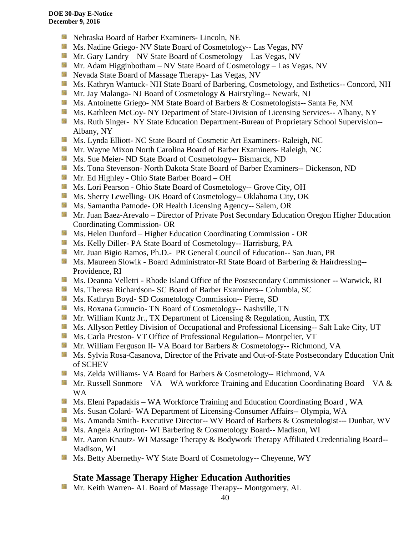- **Nebraska Board of Barber Examiners- Lincoln, NE**
- **Ms.** Nadine Griego- NV State Board of Cosmetology-- Las Vegas, NV
- Mr. Gary Landry NV State Board of Cosmetology Las Vegas, NV
- **Mr.** Adam Higginbotham NV State Board of Cosmetology Las Vegas, NV
- Nevada State Board of Massage Therapy- Las Vegas, NV
- **Ms. Kathryn Wantuck- NH State Board of Barbering, Cosmetology, and Esthetics-- Concord, NH**
- Mr. Jay Malanga- NJ Board of Cosmetology & Hairstyling-- Newark, NJ
- Ms. Antoinette Griego- NM State Board of Barbers & Cosmetologists-- Santa Fe, NM
- Ms. Kathleen McCoy- NY Department of State-Division of Licensing Services-- Albany, NY
- Ms. Ruth Singer- NY State Education Department-Bureau of Proprietary School Supervision--Albany, NY
- **Ms. Lynda Elliott- NC State Board of Cosmetic Art Examiners- Raleigh, NC**
- **Mr. Wayne Mixon North Carolina Board of Barber Examiners- Raleigh, NC**
- **MS.** Sue Meier- ND State Board of Cosmetology-- Bismarck, ND
- Ms. Tona Stevenson- North Dakota State Board of Barber Examiners-- Dickenson, ND
- Mr. Ed Highley Ohio State Barber Board OH
- Ms. Lori Pearson Ohio State Board of Cosmetology-- Grove City, OH
- Ms. Sherry Lewelling- OK Board of Cosmetology-- Oklahoma City, OK
- **Ms. Samantha Patnode- OR Health Licensing Agency-- Salem, OR**
- Mr. Juan Baez-Arevalo Director of Private Post Secondary Education Oregon Higher Education Coordinating Commission- OR
- **Ms. Helen Dunford Higher Education Coordinating Commission OR**
- Ms. Kelly Diller- PA State Board of Cosmetology-- Harrisburg, PA
- Mr. Juan Bigio Ramos, Ph.D.- PR General Council of Education-- San Juan, PR
- **Ms. Maureen Slowik Board Administrator-RI State Board of Barbering & Hairdressing--**Providence, RI
- Ms. Deanna Velletri Rhode Island Office of the Postsecondary Commissioner -- Warwick, RI
- Ms. Theresa Richardson- SC Board of Barber Examiners-- Columbia, SC
- Ms. Kathryn Boyd- SD Cosmetology Commission-- Pierre, SD
- Ms. Roxana Gumucio- TN Board of Cosmetology-- Nashville, TN
- **Mr. William Kuntz Jr., TX Department of Licensing & Regulation, Austin, TX**
- Ms. Allyson Pettley Division of Occupational and Professional Licensing-- Salt Lake City, UT
- Ms. Carla Preston- VT Office of Professional Regulation-- Montpelier, VT
- Mr. William Ferguson II- VA Board for Barbers & Cosmetology-- Richmond, VA
- **Ms.** Sylvia Rosa-Casanova, Director of the Private and Out-of-State Postsecondary Education Unit of SCHEV
- **Ms. Zelda Williams- VA Board for Barbers & Cosmetology-- Richmond, VA**
- Mr. Russell Sonmore VA WA workforce Training and Education Coordinating Board VA  $\&$ WA
- Ms. Eleni Papadakis WA Workforce Training and Education Coordinating Board, WA
- **Ms. Susan Colard- WA Department of Licensing-Consumer Affairs-- Olympia, WA**
- Ms. Amanda Smith- Executive Director-- WV Board of Barbers & Cosmetologist--- Dunbar, WV
- **Ms.** Angela Arrington- WI Barbering & Cosmetology Board-- Madison, WI
- Mr. Aaron Knautz- WI Massage Therapy & Bodywork Therapy Affiliated Credentialing Board--Madison, WI
- **Ms. Betty Abernethy- WY State Board of Cosmetology-- Cheyenne, WY**

# **State Massage Therapy Higher Education Authorities**

Mr. Keith Warren- AL Board of Massage Therapy-- Montgomery, AL